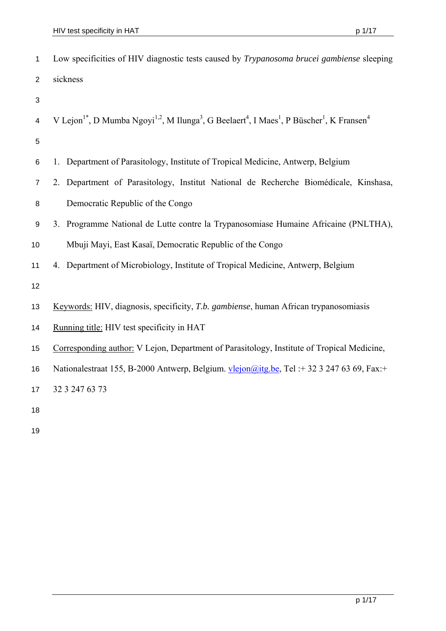| $\mathbf{1}$   | Low specificities of HIV diagnostic tests caused by <i>Trypanosoma brucei gambiense</i> sleeping                                                                               |
|----------------|--------------------------------------------------------------------------------------------------------------------------------------------------------------------------------|
| $\overline{2}$ | sickness                                                                                                                                                                       |
| 3              |                                                                                                                                                                                |
| $\overline{4}$ | V Lejon <sup>1*</sup> , D Mumba Ngoyi <sup>1,2</sup> , M Ilunga <sup>3</sup> , G Beelaert <sup>4</sup> , I Maes <sup>1</sup> , P Büscher <sup>1</sup> , K Fransen <sup>4</sup> |
| 5              |                                                                                                                                                                                |
| 6              | 1. Department of Parasitology, Institute of Tropical Medicine, Antwerp, Belgium                                                                                                |
| $\overline{7}$ | 2. Department of Parasitology, Institut National de Recherche Biomédicale, Kinshasa,                                                                                           |
| 8              | Democratic Republic of the Congo                                                                                                                                               |
| 9              | 3. Programme National de Lutte contre la Trypanosomiase Humaine Africaine (PNLTHA),                                                                                            |
| 10             | Mbuji Mayi, East Kasaï, Democratic Republic of the Congo                                                                                                                       |
| 11             | 4. Department of Microbiology, Institute of Tropical Medicine, Antwerp, Belgium                                                                                                |
| 12             |                                                                                                                                                                                |
| 13             | Keywords: HIV, diagnosis, specificity, T.b. gambiense, human African trypanosomiasis                                                                                           |
| 14             | Running title: HIV test specificity in HAT                                                                                                                                     |
| 15             | Corresponding author: V Lejon, Department of Parasitology, Institute of Tropical Medicine,                                                                                     |
| 16             | Nationalestraat 155, B-2000 Antwerp, Belgium. vlejon@itg.be, Tel: +32 3 247 63 69, Fax: +                                                                                      |
| 17             | 32 3 247 63 73                                                                                                                                                                 |
| 18             |                                                                                                                                                                                |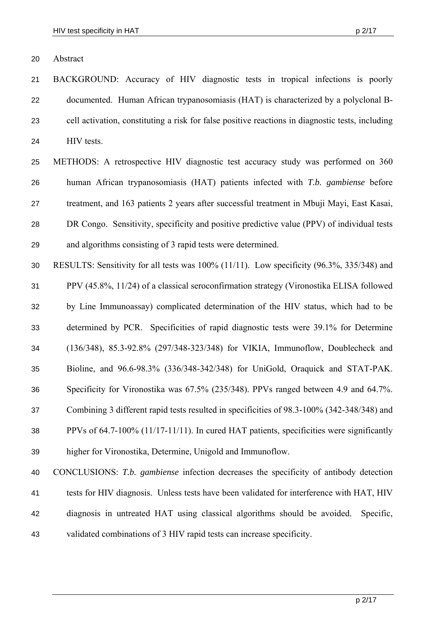20 Abstract

21 22 23 24 BACKGROUND: Accuracy of HIV diagnostic tests in tropical infections is poorly documented. Human African trypanosomiasis (HAT) is characterized by a polyclonal Bcell activation, constituting a risk for false positive reactions in diagnostic tests, including HIV tests.

25 26 27 28 29 METHODS: A retrospective HIV diagnostic test accuracy study was performed on 360 human African trypanosomiasis (HAT) patients infected with *T.b. gambiense* before treatment, and 163 patients 2 years after successful treatment in Mbuji Mayi, East Kasai, DR Congo. Sensitivity, specificity and positive predictive value (PPV) of individual tests and algorithms consisting of 3 rapid tests were determined.

30 31 32 33 34 35 36 37 38 39 RESULTS: Sensitivity for all tests was 100% (11/11). Low specificity (96.3%, 335/348) and PPV (45.8%, 11/24) of a classical seroconfirmation strategy (Vironostika ELISA followed by Line Immunoassay) complicated determination of the HIV status, which had to be determined by PCR. Specificities of rapid diagnostic tests were 39.1% for Determine (136/348), 85.3-92.8% (297/348-323/348) for VIKIA, Immunoflow, Doublecheck and Bioline, and 96.6-98.3% (336/348-342/348) for UniGold, Oraquick and STAT-PAK. Specificity for Vironostika was 67.5% (235/348). PPVs ranged between 4.9 and 64.7%. Combining 3 different rapid tests resulted in specificities of 98.3-100% (342-348/348) and PPVs of 64.7-100% (11/17-11/11). In cured HAT patients, specificities were significantly higher for Vironostika, Determine, Unigold and Immunoflow.

40 41 42 43 CONCLUSIONS: *T.b. gambiense* infection decreases the specificity of antibody detection tests for HIV diagnosis. Unless tests have been validated for interference with HAT, HIV diagnosis in untreated HAT using classical algorithms should be avoided. Specific, validated combinations of 3 HIV rapid tests can increase specificity.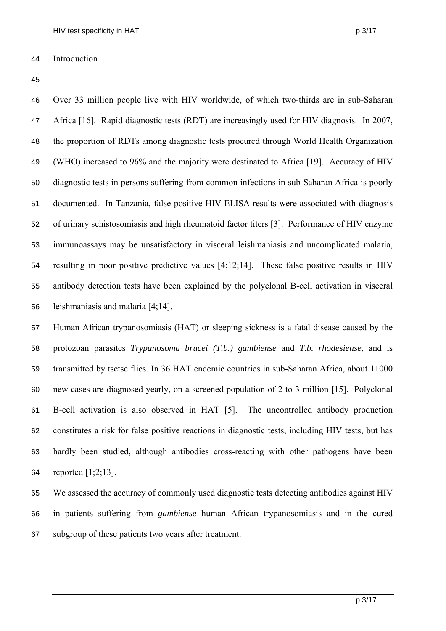44 Introduction

45

46 47 48 49 50 51 52 53 54 55 56 Over 33 million people live with HIV worldwide, of which two-thirds are in sub-Saharan Africa [16]. Rapid diagnostic tests (RDT) are increasingly used for HIV diagnosis. In 2007, the proportion of RDTs among diagnostic tests procured through World Health Organization (WHO) increased to 96% and the majority were destinated to Africa [19]. Accuracy of HIV diagnostic tests in persons suffering from common infections in sub-Saharan Africa is poorly documented. In Tanzania, false positive HIV ELISA results were associated with diagnosis of urinary schistosomiasis and high rheumatoid factor titers [3]. Performance of HIV enzyme immunoassays may be unsatisfactory in visceral leishmaniasis and uncomplicated malaria, resulting in poor positive predictive values [4;12;14]. These false positive results in HIV antibody detection tests have been explained by the polyclonal B-cell activation in visceral leishmaniasis and malaria [4;14].

57 58 59 60 61 62 63 64 Human African trypanosomiasis (HAT) or sleeping sickness is a fatal disease caused by the protozoan parasites *Trypanosoma brucei (T.b.) gambiense* and *T.b. rhodesiense*, and is transmitted by tsetse flies. In 36 HAT endemic countries in sub-Saharan Africa, about 11000 new cases are diagnosed yearly, on a screened population of 2 to 3 million [15]. Polyclonal B-cell activation is also observed in HAT [5]. The uncontrolled antibody production constitutes a risk for false positive reactions in diagnostic tests, including HIV tests, but has hardly been studied, although antibodies cross-reacting with other pathogens have been reported  $[1;2;13]$ .

65 66 67 We assessed the accuracy of commonly used diagnostic tests detecting antibodies against HIV in patients suffering from *gambiense* human African trypanosomiasis and in the cured subgroup of these patients two years after treatment.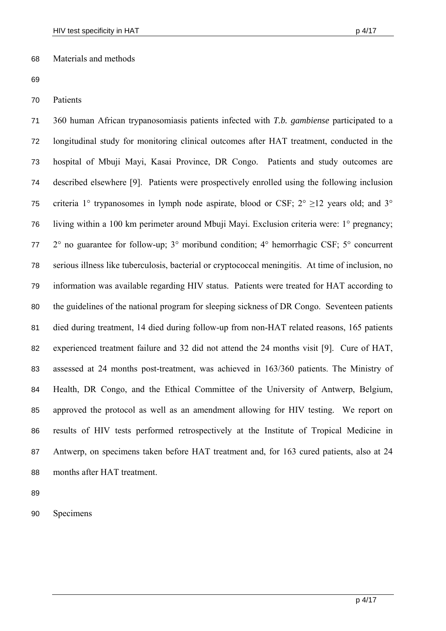## 68 Materials and methods

70 Patients

71 72 73 74 75 76 77 78 79 80 81 82 83 84 85 86 87 88 360 human African trypanosomiasis patients infected with *T.b. gambiense* participated to a longitudinal study for monitoring clinical outcomes after HAT treatment, conducted in the hospital of Mbuji Mayi, Kasai Province, DR Congo. Patients and study outcomes are described elsewhere [9]. Patients were prospectively enrolled using the following inclusion criteria 1° trypanosomes in lymph node aspirate, blood or CSF;  $2^{\circ}$  >12 years old; and  $3^{\circ}$ living within a 100 km perimeter around Mbuji Mayi. Exclusion criteria were: 1° pregnancy; 2° no guarantee for follow-up; 3° moribund condition; 4° hemorrhagic CSF; 5° concurrent serious illness like tuberculosis, bacterial or cryptococcal meningitis. At time of inclusion, no information was available regarding HIV status. Patients were treated for HAT according to the guidelines of the national program for sleeping sickness of DR Congo. Seventeen patients died during treatment, 14 died during follow-up from non-HAT related reasons, 165 patients experienced treatment failure and 32 did not attend the 24 months visit [9]. Cure of HAT, assessed at 24 months post-treatment, was achieved in 163/360 patients. The Ministry of Health, DR Congo, and the Ethical Committee of the University of Antwerp, Belgium, approved the protocol as well as an amendment allowing for HIV testing. We report on results of HIV tests performed retrospectively at the Institute of Tropical Medicine in Antwerp, on specimens taken before HAT treatment and, for 163 cured patients, also at 24 months after HAT treatment.

89

90 Specimens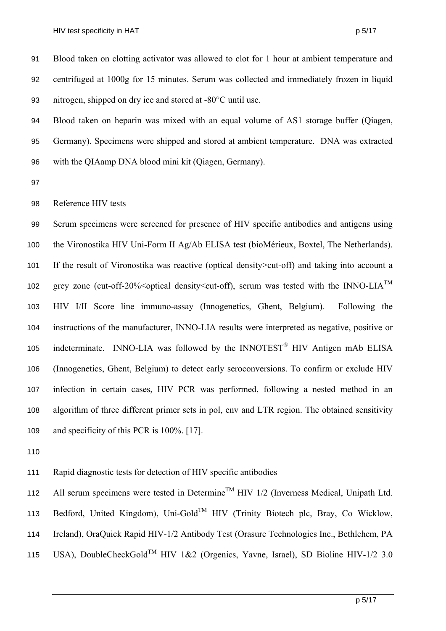Blood taken on clotting activator was allowed to clot for 1 hour at ambient temperature and centrifuged at 1000g for 15 minutes. Serum was collected and immediately frozen in liquid nitrogen, shipped on dry ice and stored at -80°C until use. 91 92 93

94 95 96 Blood taken on heparin was mixed with an equal volume of AS1 storage buffer (Qiagen, Germany). Specimens were shipped and stored at ambient temperature. DNA was extracted with the QIAamp DNA blood mini kit (Qiagen, Germany).

97

98 Reference HIV tests

99 100 101 102 103 104 105 106 107 108 109 Serum specimens were screened for presence of HIV specific antibodies and antigens using the Vironostika HIV Uni-Form II Ag/Ab ELISA test (bioMérieux, Boxtel, The Netherlands). If the result of Vironostika was reactive (optical density>cut-off) and taking into account a grey zone (cut-off-20% < optical density < cut-off), serum was tested with the INNO-LIA<sup>TM</sup> HIV I/II Score line immuno-assay (Innogenetics, Ghent, Belgium). Following the instructions of the manufacturer, INNO-LIA results were interpreted as negative, positive or indeterminate. INNO-LIA was followed by the INNOTEST<sup>®</sup> HIV Antigen mAb ELISA (Innogenetics, Ghent, Belgium) to detect early seroconversions. To confirm or exclude HIV infection in certain cases, HIV PCR was performed, following a nested method in an algorithm of three different primer sets in pol, env and LTR region. The obtained sensitivity and specificity of this PCR is 100%. [17].

110

111 Rapid diagnostic tests for detection of HIV specific antibodies

112 113 114 115 All serum specimens were tested in Determine<sup>TM</sup> HIV  $1/2$  (Inverness Medical, Unipath Ltd. Bedford, United Kingdom), Uni-Gold<sup>TM</sup> HIV (Trinity Biotech plc, Bray, Co Wicklow, Ireland), OraQuick Rapid HIV-1/2 Antibody Test (Orasure Technologies Inc., Bethlehem, PA USA), DoubleCheckGold<sup>TM</sup> HIV 1&2 (Orgenics, Yavne, Israel), SD Bioline HIV-1/2 3.0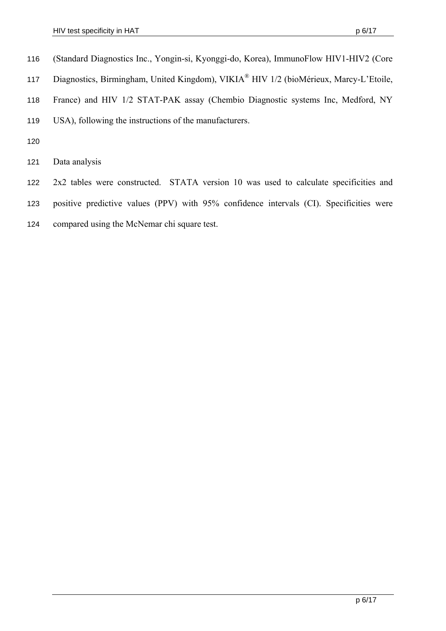- (Standard Diagnostics Inc., Yongin-si, Kyonggi-do, Korea), ImmunoFlow HIV1-HIV2 (Core 116
- Diagnostics, Birmingham, United Kingdom), VIKIA ® HIV 1/2 (bioMérieux, Marcy-L'Etoile, 117
- 118 France) and HIV 1/2 STAT-PAK assay (Chembio Diagnostic systems Inc, Medford, NY
- 119 USA), following the instructions of the manufacturers.
- 120
- 121 Data analysis
- 122 2x2 tables were constructed. STATA version 10 was used to calculate specificities and
- 123 positive predictive values (PPV) with 95% confidence intervals (CI). Specificities were
- 124 compared using the McNemar chi square test.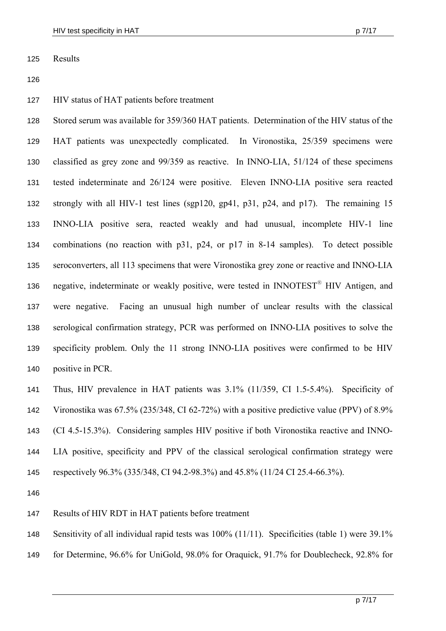125 Results

126

127 HIV status of HAT patients before treatment

128 129 130 131 132 133 134 135 136 137 138 139 140 Stored serum was available for 359/360 HAT patients. Determination of the HIV status of the HAT patients was unexpectedly complicated. In Vironostika, 25/359 specimens were classified as grey zone and 99/359 as reactive. In INNO-LIA, 51/124 of these specimens tested indeterminate and 26/124 were positive. Eleven INNO-LIA positive sera reacted strongly with all HIV-1 test lines (sgp120, gp41, p31, p24, and p17). The remaining 15 INNO-LIA positive sera, reacted weakly and had unusual, incomplete HIV-1 line combinations (no reaction with p31, p24, or p17 in 8-14 samples). To detect possible seroconverters, all 113 specimens that were Vironostika grey zone or reactive and INNO-LIA negative, indeterminate or weakly positive, were tested in INNOTEST<sup>®</sup> HIV Antigen, and were negative. Facing an unusual high number of unclear results with the classical serological confirmation strategy, PCR was performed on INNO-LIA positives to solve the specificity problem. Only the 11 strong INNO-LIA positives were confirmed to be HIV positive in PCR.

141 142 143 144 145 Thus, HIV prevalence in HAT patients was 3.1% (11/359, CI 1.5-5.4%). Specificity of Vironostika was 67.5% (235/348, CI 62-72%) with a positive predictive value (PPV) of 8.9% (CI 4.5-15.3%). Considering samples HIV positive if both Vironostika reactive and INNO-LIA positive, specificity and PPV of the classical serological confirmation strategy were respectively 96.3% (335/348, CI 94.2-98.3%) and 45.8% (11/24 CI 25.4-66.3%).

- 147 Results of HIV RDT in HAT patients before treatment
- 148 Sensitivity of all individual rapid tests was 100% (11/11). Specificities (table 1) were 39.1%
- 149 for Determine, 96.6% for UniGold, 98.0% for Oraquick, 91.7% for Doublecheck, 92.8% for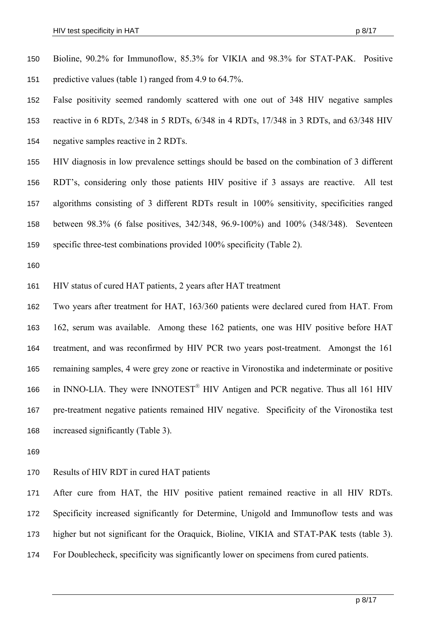- Bioline, 90.2% for Immunoflow, 85.3% for VIKIA and 98.3% for STAT-PAK. Positive predictive values (table 1) ranged from 4.9 to 64.7%. 150 151
- 152 153 154 False positivity seemed randomly scattered with one out of 348 HIV negative samples reactive in 6 RDTs, 2/348 in 5 RDTs, 6/348 in 4 RDTs, 17/348 in 3 RDTs, and 63/348 HIV negative samples reactive in 2 RDTs.
- 155 156 157 158 159 HIV diagnosis in low prevalence settings should be based on the combination of 3 different RDT's, considering only those patients HIV positive if 3 assays are reactive. All test algorithms consisting of 3 different RDTs result in 100% sensitivity, specificities ranged between 98.3% (6 false positives, 342/348, 96.9-100%) and 100% (348/348). Seventeen specific three-test combinations provided 100% specificity (Table 2).

160

- 161 HIV status of cured HAT patients, 2 years after HAT treatment
- 162 163 164 165 166 167 168 Two years after treatment for HAT, 163/360 patients were declared cured from HAT. From 162, serum was available. Among these 162 patients, one was HIV positive before HAT treatment, and was reconfirmed by HIV PCR two years post-treatment. Amongst the 161 remaining samples, 4 were grey zone or reactive in Vironostika and indeterminate or positive in INNO-LIA. They were INNOTEST<sup>®</sup> HIV Antigen and PCR negative. Thus all 161 HIV pre-treatment negative patients remained HIV negative. Specificity of the Vironostika test increased significantly (Table 3).
- 169
- 170 Results of HIV RDT in cured HAT patients

171 172 173 174 After cure from HAT, the HIV positive patient remained reactive in all HIV RDTs. Specificity increased significantly for Determine, Unigold and Immunoflow tests and was higher but not significant for the Oraquick, Bioline, VIKIA and STAT-PAK tests (table 3). For Doublecheck, specificity was significantly lower on specimens from cured patients.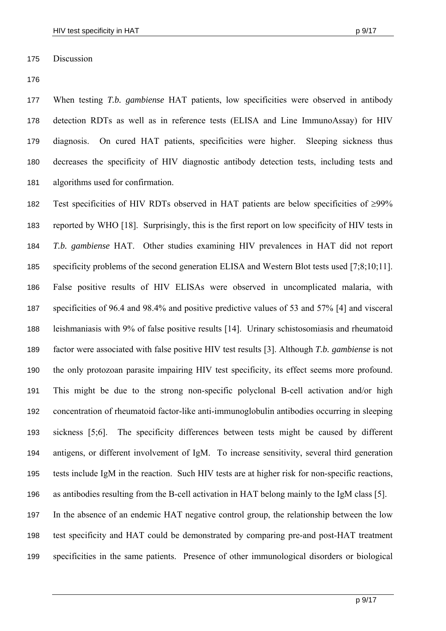175 Discussion

176

177 178 179 180 181 When testing *T.b. gambiense* HAT patients, low specificities were observed in antibody detection RDTs as well as in reference tests (ELISA and Line ImmunoAssay) for HIV diagnosis. On cured HAT patients, specificities were higher. Sleeping sickness thus decreases the specificity of HIV diagnostic antibody detection tests, including tests and algorithms used for confirmation.

182 183 184 185 186 187 188 189 190 191 192 193 194 195 196 197 198 199 Test specificities of HIV RDTs observed in HAT patients are below specificities of  $\geq 99\%$ reported by WHO [18]. Surprisingly, this is the first report on low specificity of HIV tests in *T.b. gambiense* HAT. Other studies examining HIV prevalences in HAT did not report specificity problems of the second generation ELISA and Western Blot tests used [7;8;10;11]. False positive results of HIV ELISAs were observed in uncomplicated malaria, with specificities of 96.4 and 98.4% and positive predictive values of 53 and 57% [4] and visceral leishmaniasis with 9% of false positive results [14]. Urinary schistosomiasis and rheumatoid factor were associated with false positive HIV test results [3]. Although *T.b. gambiense* is not the only protozoan parasite impairing HIV test specificity, its effect seems more profound. This might be due to the strong non-specific polyclonal B-cell activation and/or high concentration of rheumatoid factor-like anti-immunoglobulin antibodies occurring in sleeping sickness [5;6]. The specificity differences between tests might be caused by different antigens, or different involvement of IgM. To increase sensitivity, several third generation tests include IgM in the reaction. Such HIV tests are at higher risk for non-specific reactions, as antibodies resulting from the B-cell activation in HAT belong mainly to the IgM class [5]. In the absence of an endemic HAT negative control group, the relationship between the low test specificity and HAT could be demonstrated by comparing pre-and post-HAT treatment specificities in the same patients. Presence of other immunological disorders or biological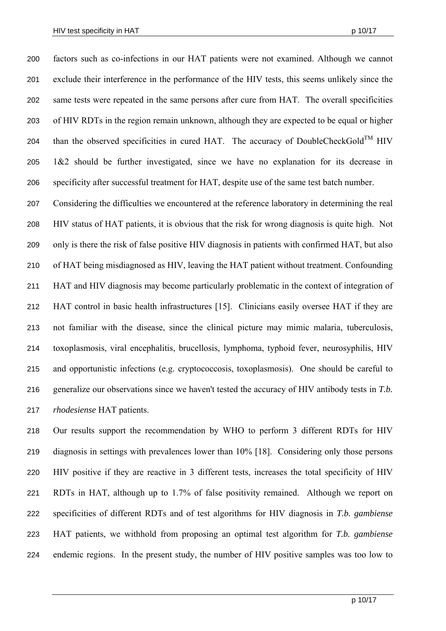factors such as co-infections in our HAT patients were not examined. Although we cannot exclude their interference in the performance of the HIV tests, this seems unlikely since the same tests were repeated in the same persons after cure from HAT. The overall specificities of HIV RDTs in the region remain unknown, although they are expected to be equal or higher than the observed specificities in cured HAT. The accuracy of DoubleCheckGold<sup>TM</sup> HIV 200 201 202 203 204 205 206 1&2 should be further investigated, since we have no explanation for its decrease in specificity after successful treatment for HAT, despite use of the same test batch number.

207 208 209 210 211 212 213 214 215 216 217 Considering the difficulties we encountered at the reference laboratory in determining the real HIV status of HAT patients, it is obvious that the risk for wrong diagnosis is quite high. Not only is there the risk of false positive HIV diagnosis in patients with confirmed HAT, but also of HAT being misdiagnosed as HIV, leaving the HAT patient without treatment. Confounding HAT and HIV diagnosis may become particularly problematic in the context of integration of HAT control in basic health infrastructures [15]. Clinicians easily oversee HAT if they are not familiar with the disease, since the clinical picture may mimic malaria, tuberculosis, toxoplasmosis, viral encephalitis, brucellosis, lymphoma, typhoid fever, neurosyphilis, HIV and opportunistic infections (e.g. cryptococcosis, toxoplasmosis). One should be careful to generalize our observations since we haven't tested the accuracy of HIV antibody tests in *T.b. rhodesiense* HAT patients.

218 219 220 221 222 223 224 Our results support the recommendation by WHO to perform 3 different RDTs for HIV diagnosis in settings with prevalences lower than 10% [18]. Considering only those persons HIV positive if they are reactive in 3 different tests, increases the total specificity of HIV RDTs in HAT, although up to 1.7% of false positivity remained. Although we report on specificities of different RDTs and of test algorithms for HIV diagnosis in *T.b. gambiense* HAT patients, we withhold from proposing an optimal test algorithm for *T.b. gambiense* endemic regions. In the present study, the number of HIV positive samples was too low to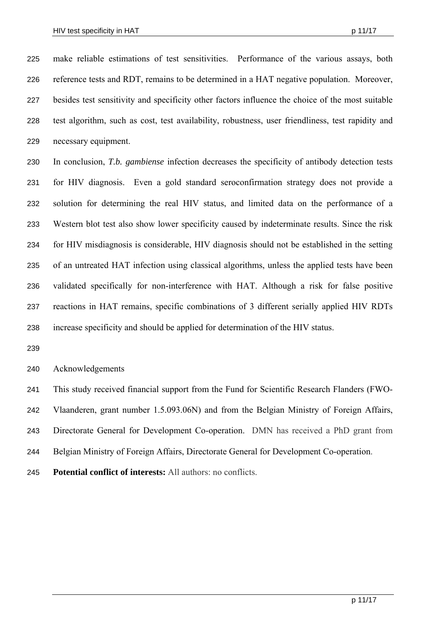make reliable estimations of test sensitivities. Performance of the various assays, both reference tests and RDT, remains to be determined in a HAT negative population. Moreover, besides test sensitivity and specificity other factors influence the choice of the most suitable test algorithm, such as cost, test availability, robustness, user friendliness, test rapidity and necessary equipment. 225 226 227 228 229

230 231 232 233 234 235 236 237 238 In conclusion, *T.b. gambiense* infection decreases the specificity of antibody detection tests for HIV diagnosis. Even a gold standard seroconfirmation strategy does not provide a solution for determining the real HIV status, and limited data on the performance of a Western blot test also show lower specificity caused by indeterminate results. Since the risk for HIV misdiagnosis is considerable, HIV diagnosis should not be established in the setting of an untreated HAT infection using classical algorithms, unless the applied tests have been validated specifically for non-interference with HAT. Although a risk for false positive reactions in HAT remains, specific combinations of 3 different serially applied HIV RDTs increase specificity and should be applied for determination of the HIV status.

239

240 Acknowledgements

241 This study received financial support from the Fund for Scientific Research Flanders (FWO-

242 Vlaanderen, grant number 1.5.093.06N) and from the Belgian Ministry of Foreign Affairs,

243 Directorate General for Development Co-operation. DMN has received a PhD grant from

- 244 Belgian Ministry of Foreign Affairs, Directorate General for Development Co-operation.
- 245 **Potential conflict of interests:** All authors: no conflicts.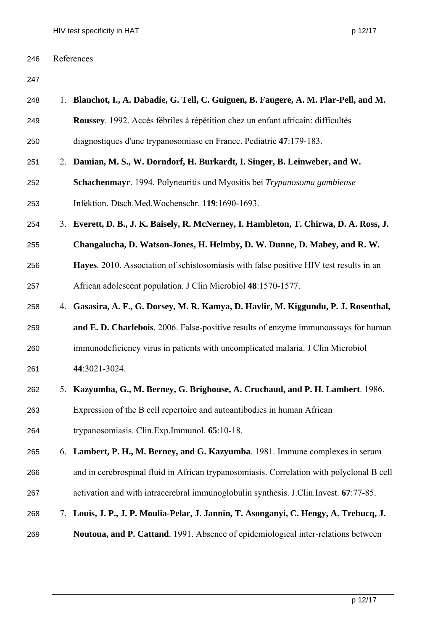| 246 | References                                                                                |
|-----|-------------------------------------------------------------------------------------------|
| 247 |                                                                                           |
| 248 | 1. Blanchot, I., A. Dabadie, G. Tell, C. Guiguen, B. Faugere, A. M. Plar-Pell, and M.     |
| 249 | Roussey. 1992. Accès fébriles à répétition chez un enfant africain: difficultés           |
| 250 | diagnostiques d'une trypanosomiase en France. Pediatrie 47:179-183.                       |
| 251 | 2. Damian, M. S., W. Dorndorf, H. Burkardt, I. Singer, B. Leinweber, and W.               |
| 252 | Schachenmayr. 1994. Polyneuritis und Myositis bei Trypanosoma gambiense                   |
| 253 | Infektion. Dtsch.Med.Wochenschr. 119:1690-1693.                                           |
| 254 | 3. Everett, D. B., J. K. Baisely, R. McNerney, I. Hambleton, T. Chirwa, D. A. Ross, J.    |
| 255 | Changalucha, D. Watson-Jones, H. Helmby, D. W. Dunne, D. Mabey, and R. W.                 |
| 256 | Hayes. 2010. Association of schistosomiasis with false positive HIV test results in an    |
| 257 | African adolescent population. J Clin Microbiol 48:1570-1577.                             |
| 258 | 4. Gasasira, A. F., G. Dorsey, M. R. Kamya, D. Havlir, M. Kiggundu, P. J. Rosenthal,      |
| 259 | and E. D. Charlebois. 2006. False-positive results of enzyme immunoassays for human       |
| 260 | immunodeficiency virus in patients with uncomplicated malaria. J Clin Microbiol           |
| 261 | 44:3021-3024.                                                                             |
| 262 | Kazyumba, G., M. Berney, G. Brighouse, A. Cruchaud, and P. H. Lambert. 1986.              |
| 263 | Expression of the B cell repertoire and autoantibodies in human African                   |
| 264 | trypanosomiasis. Clin. Exp. Immunol. 65:10-18.                                            |
| 265 | 6. Lambert, P. H., M. Berney, and G. Kazyumba. 1981. Immune complexes in serum            |
| 266 | and in cerebrospinal fluid in African trypanosomiasis. Correlation with polyclonal B cell |
| 267 | activation and with intracerebral immunoglobulin synthesis. J.Clin.Invest. 67:77-85.      |
| 268 | 7. Louis, J. P., J. P. Moulia-Pelar, J. Jannin, T. Asonganyi, C. Hengy, A. Trebucq, J.    |
|     |                                                                                           |

269 **Noutoua, and P. Cattand**. 1991. Absence of epidemiological inter-relations between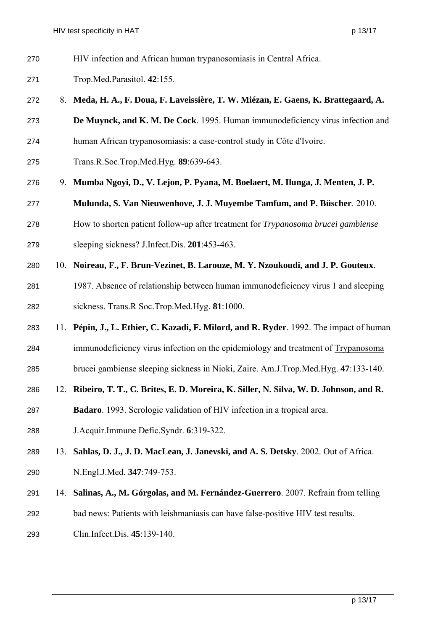- HIV infection and African human trypanosomiasis in Central Africa. 270
- Trop.Med.Parasitol. **42**:155. 271
- 272 8. **Meda, H. A., F. Doua, F. Laveissière, T. W. Miézan, E. Gaens, K. Brattegaard, A.**
- 273 **De Muynck, and K. M. De Cock**. 1995. Human immunodeficiency virus infection and
- 274 human African trypanosomiasis: a case-control study in Côte d'Ivoire.
- 275 Trans.R.Soc.Trop.Med.Hyg. **89**:639-643.
- 276 9. **Mumba Ngoyi, D., V. Lejon, P. Pyana, M. Boelaert, M. Ilunga, J. Menten, J. P.**
- 277 **Mulunda, S. Van Nieuwenhove, J. J. Muyembe Tamfum, and P. Büscher**. 2010.
- 278 How to shorten patient follow-up after treatment for *Trypanosoma brucei gambiense*
- 279 sleeping sickness? J.Infect.Dis. **201**:453-463.
- 280 10. **Noireau, F., F. Brun-Vezinet, B. Larouze, M. Y. Nzoukoudi, and J. P. Gouteux**.
- 281 282 1987. Absence of relationship between human immunodeficiency virus 1 and sleeping sickness. Trans.R Soc.Trop.Med.Hyg. **81**:1000.
- 283 11. **Pépin, J., L. Ethier, C. Kazadi, F. Milord, and R. Ryder**. 1992. The impact of human
- 284 immunodeficiency virus infection on the epidemiology and treatment of Trypanosoma
- 285 brucei gambiense sleeping sickness in Nioki, Zaire. Am.J.Trop.Med.Hyg. **47**:133-140.
- 286 12. **Ribeiro, T. T., C. Brites, E. D. Moreira, K. Siller, N. Silva, W. D. Johnson, and R.**
- 287 **Badaro**. 1993. Serologic validation of HIV infection in a tropical area.
- 288 J.Acquir.Immune Defic.Syndr. **6**:319-322.
- 289 13. **Sahlas, D. J., J. D. MacLean, J. Janevski, and A. S. Detsky**. 2002. Out of Africa.
- 290 N.Engl.J.Med. **347**:749-753.
- 291 14. **Salinas, A., M. Górgolas, and M. Fernández-Guerrero**. 2007. Refrain from telling
- 292 bad news: Patients with leishmaniasis can have false-positive HIV test results.
- 293 Clin.Infect.Dis. **45**:139-140.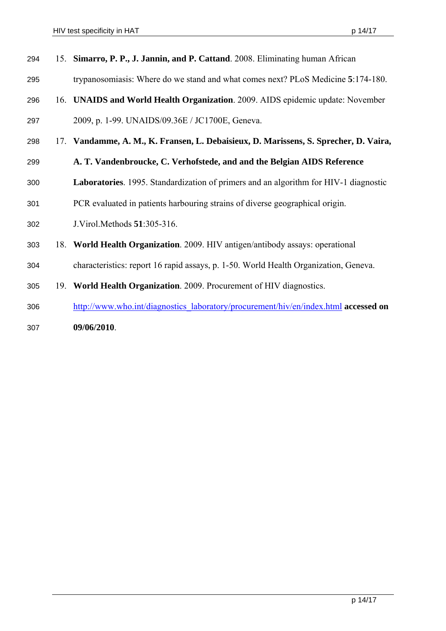| 294 | 15. Simarro, P. P., J. Jannin, and P. Cattand. 2008. Eliminating human African       |
|-----|--------------------------------------------------------------------------------------|
| 295 | trypanosomiasis: Where do we stand and what comes next? PLoS Medicine 5:174-180.     |
| 296 | 16. UNAIDS and World Health Organization. 2009. AIDS epidemic update: November       |
| 297 | 2009, p. 1-99. UNAIDS/09.36E / JC1700E, Geneva.                                      |
| 298 | 17. Vandamme, A. M., K. Fransen, L. Debaisieux, D. Marissens, S. Sprecher, D. Vaira, |
| 299 | A. T. Vandenbroucke, C. Verhofstede, and and the Belgian AIDS Reference              |
| 300 | Laboratories. 1995. Standardization of primers and an algorithm for HIV-1 diagnostic |
| 301 | PCR evaluated in patients harbouring strains of diverse geographical origin.         |
| 302 | J. Virol. Methods 51:305-316.                                                        |
| 303 | 18. World Health Organization. 2009. HIV antigen/antibody assays: operational        |
| 304 | characteristics: report 16 rapid assays, p. 1-50. World Health Organization, Geneva. |
| 305 | 19. World Health Organization. 2009. Procurement of HIV diagnostics.                 |
| 306 | http://www.who.int/diagnostics laboratory/procurement/hiv/en/index.html accessed on  |

**09/06/2010**. 307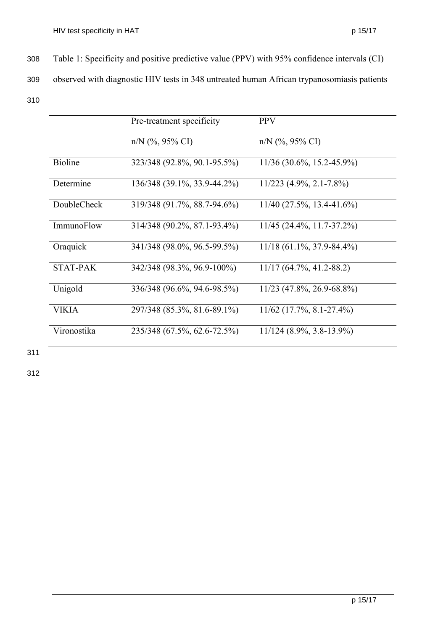Table 1: Specificity and positive predictive value (PPV) with 95% confidence intervals (CI) 308

observed with diagnostic HIV tests in 348 untreated human African trypanosomiasis patients 309

310

|                   | Pre-treatment specificity   | <b>PPV</b>                    |
|-------------------|-----------------------------|-------------------------------|
|                   |                             |                               |
|                   | $n/N$ (%, 95% CI)           | $n/N$ (%, 95% CI)             |
|                   |                             |                               |
| <b>Bioline</b>    | 323/348 (92.8%, 90.1-95.5%) | $11/36$ (30.6%, 15.2-45.9%)   |
| Determine         | 136/348 (39.1%, 33.9-44.2%) | $11/223$ $(4.9\%, 2.1-7.8\%)$ |
|                   |                             |                               |
| DoubleCheck       | 319/348 (91.7%, 88.7-94.6%) | $11/40$ (27.5%, 13.4-41.6%)   |
|                   |                             |                               |
| <b>ImmunoFlow</b> | 314/348 (90.2%, 87.1-93.4%) | $11/45$ (24.4%, 11.7-37.2%)   |
| Oraquick          | 341/348 (98.0%, 96.5-99.5%) | $11/18$ (61.1%, 37.9-84.4%)   |
|                   |                             |                               |
| <b>STAT-PAK</b>   | 342/348 (98.3%, 96.9-100%)  | $11/17$ (64.7%, 41.2-88.2)    |
|                   |                             |                               |
| Unigold           | 336/348 (96.6%, 94.6-98.5%) | $11/23$ (47.8%, 26.9-68.8%)   |
| <b>VIKIA</b>      |                             |                               |
|                   | 297/348 (85.3%, 81.6-89.1%) | $11/62$ (17.7%, 8.1-27.4%)    |
| Vironostika       | 235/348 (67.5%, 62.6-72.5%) | 11/124 (8.9%, 3.8-13.9%)      |
|                   |                             |                               |

311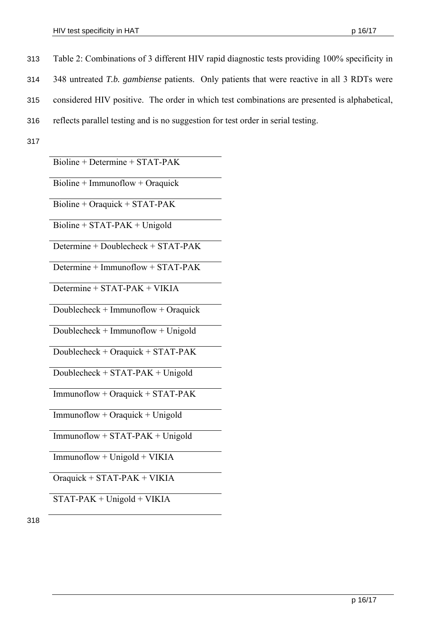- Table 2: Combinations of 3 different HIV rapid diagnostic tests providing 100% specificity in 313
- 348 untreated *T.b. gambiense* patients. Only patients that were reactive in all 3 RDTs were 314
- considered HIV positive. The order in which test combinations are presented is alphabetical, 315
- reflects parallel testing and is no suggestion for test order in serial testing. 316
- 317

Bioline + Determine + STAT-PAK

Bioline + Immunoflow + Oraquick

Bioline + Oraquick + STAT-PAK

 $Bioline + STAT-PAK + Unigold$ 

Determine + Doublecheck + STAT-PAK

Determine + Immunoflow + STAT-PAK

Determine + STAT-PAK + VIKIA

Doublecheck + Immunoflow + Oraquick

Doublecheck + Immunoflow + Unigold

Doublecheck + Oraquick + STAT-PAK

Doublecheck + STAT-PAK + Unigold

Immunoflow + Oraquick + STAT-PAK

Immunoflow + Oraquick + Unigold

Immunoflow + STAT-PAK + Unigold

 $Immunoflow + Unigold + VIKIA$ 

Oraquick + STAT-PAK + VIKIA

STAT-PAK + Unigold + VIKIA